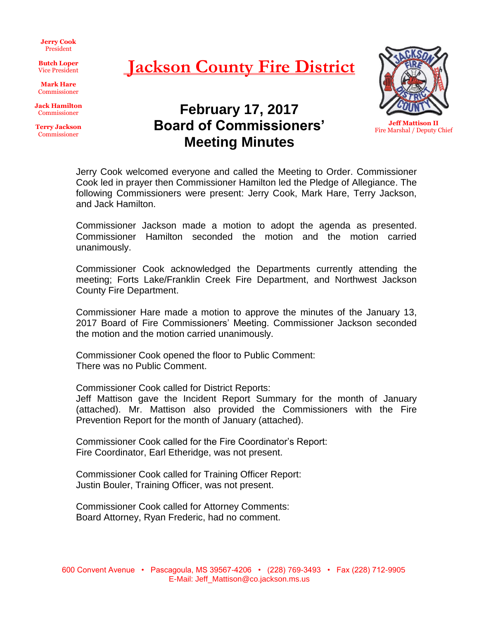**Jerry Cook** President

**Butch Loper** Vice President

**Mark Hare** Commissioner

**Jack Hamilton** Commissioner

**Terry Jackson** Commissioner

## **Jackson County Fire District**

**February 17, 2017 Board of Commissioners'**

**Meeting Minutes**



**Jeff Mattison II** Fire Marshal / Deputy Chief

Jerry Cook welcomed everyone and called the Meeting to Order. Commissioner Cook led in prayer then Commissioner Hamilton led the Pledge of Allegiance. The following Commissioners were present: Jerry Cook, Mark Hare, Terry Jackson, and Jack Hamilton.

Commissioner Jackson made a motion to adopt the agenda as presented. Commissioner Hamilton seconded the motion and the motion carried unanimously.

Commissioner Cook acknowledged the Departments currently attending the meeting; Forts Lake/Franklin Creek Fire Department, and Northwest Jackson County Fire Department.

Commissioner Hare made a motion to approve the minutes of the January 13, 2017 Board of Fire Commissioners' Meeting. Commissioner Jackson seconded the motion and the motion carried unanimously.

Commissioner Cook opened the floor to Public Comment: There was no Public Comment.

Commissioner Cook called for District Reports:

Jeff Mattison gave the Incident Report Summary for the month of January (attached). Mr. Mattison also provided the Commissioners with the Fire Prevention Report for the month of January (attached).

Commissioner Cook called for the Fire Coordinator's Report: Fire Coordinator, Earl Etheridge, was not present.

Commissioner Cook called for Training Officer Report: Justin Bouler, Training Officer, was not present.

Commissioner Cook called for Attorney Comments: Board Attorney, Ryan Frederic, had no comment.